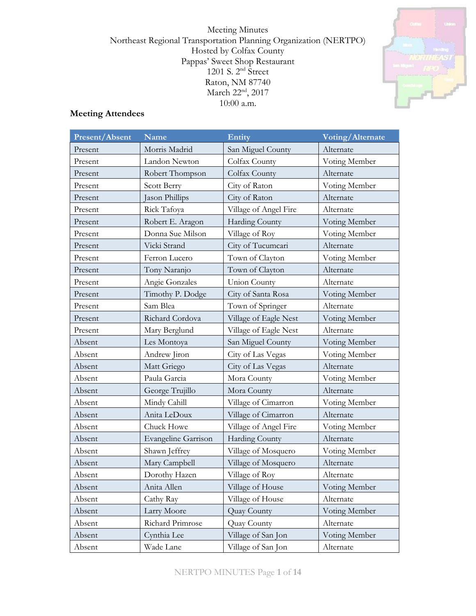Meeting Minutes Northeast Regional Transportation Planning Organization (NERTPO) Hosted by Colfax County Pappas' Sweet Shop Restaurant 1201 S. 2nd Street Raton, NM 87740 March 22<sup>nd</sup>, 2017 10:00 a.m.



# **Meeting Attendees**

| Present/Absent | <b>Name</b>                | Entity                | Voting/Alternate |  |
|----------------|----------------------------|-----------------------|------------------|--|
| Present        | Morris Madrid              | San Miguel County     | Alternate        |  |
| Present        | Landon Newton              | Colfax County         | Voting Member    |  |
| Present        | Robert Thompson            | Colfax County         | Alternate        |  |
| Present        | Scott Berry                | City of Raton         | Voting Member    |  |
| Present        | Jason Phillips             | City of Raton         | Alternate        |  |
| Present        | Rick Tafoya                | Village of Angel Fire | Alternate        |  |
| Present        | Robert E. Aragon           | Harding County        | Voting Member    |  |
| Present        | Donna Sue Milson           | Village of Roy        | Voting Member    |  |
| Present        | Vicki Strand               | City of Tucumcari     | Alternate        |  |
| Present        | Ferron Lucero              | Town of Clayton       | Voting Member    |  |
| Present        | Tony Naranjo               | Town of Clayton       | Alternate        |  |
| Present        | Angie Gonzales             | <b>Union County</b>   | Alternate        |  |
| Present        | Timothy P. Dodge           | City of Santa Rosa    | Voting Member    |  |
| Present        | Sam Blea                   | Town of Springer      | Alternate        |  |
| Present        | Richard Cordova            | Village of Eagle Nest | Voting Member    |  |
| Present        | Mary Berglund              | Village of Eagle Nest | Alternate        |  |
| Absent         | Les Montoya                | San Miguel County     | Voting Member    |  |
| Absent         | Andrew Jiron               | City of Las Vegas     | Voting Member    |  |
| Absent         | Matt Griego                | City of Las Vegas     | Alternate        |  |
| Absent         | Paula Garcia               | Mora County           | Voting Member    |  |
| Absent         | George Trujillo            | Mora County           | Alternate        |  |
| Absent         | Mindy Cahill               | Village of Cimarron   | Voting Member    |  |
| Absent         | Anita LeDoux               | Village of Cimarron   | Alternate        |  |
| Absent         | Chuck Howe                 | Village of Angel Fire | Voting Member    |  |
| Absent         | <b>Evangeline Garrison</b> | <b>Harding County</b> | Alternate        |  |
| Absent         | Shawn Jeffrey              | Village of Mosquero   | Voting Member    |  |
| Absent         | Mary Campbell              | Village of Mosquero   | Alternate        |  |
| Absent         | Dorothy Hazen              | Village of Roy        | Alternate        |  |
| Absent         | Anita Allen                | Village of House      | Voting Member    |  |
| Absent         | Cathy Ray                  | Village of House      | Alternate        |  |
| Absent         | Larry Moore                | Quay County           | Voting Member    |  |
| Absent         | Richard Primrose           | Quay County           | Alternate        |  |
| Absent         | Cynthia Lee                | Village of San Jon    | Voting Member    |  |
| Absent         | Wade Lane                  | Village of San Jon    | Alternate        |  |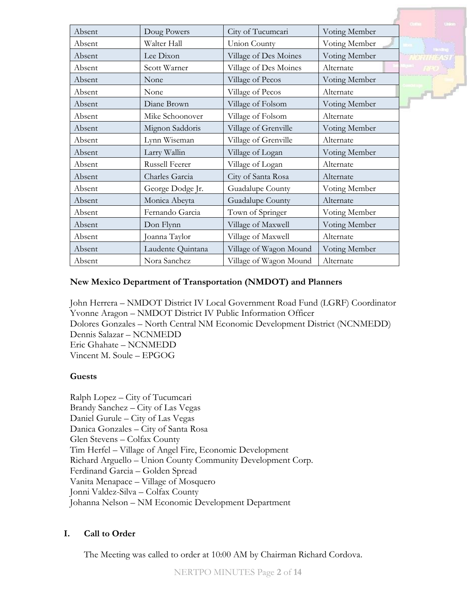|        |                   |                        |               | <b>Uniter</b>  |
|--------|-------------------|------------------------|---------------|----------------|
| Absent | Doug Powers       | City of Tucumcari      | Voting Member |                |
| Absent | Walter Hall       | Union County           | Voting Member |                |
| Absent | Lee Dixon         | Village of Des Moines  | Voting Member | <b>Handbug</b> |
| Absent | Scott Warner      | Village of Des Moines  | Alternate     |                |
| Absent | None              | Village of Pecos       | Voting Member |                |
| Absent | None              | Village of Pecos       | Alternate     | <b>PL</b>      |
| Absent | Diane Brown       | Village of Folsom      | Voting Member |                |
| Absent | Mike Schoonover   | Village of Folsom      | Alternate     |                |
| Absent | Mignon Saddoris   | Village of Grenville   | Voting Member |                |
| Absent | Lynn Wiseman      | Village of Grenville   | Alternate     |                |
| Absent | Larry Wallin      | Village of Logan       | Voting Member |                |
| Absent | Russell Feerer    | Village of Logan       | Alternate     |                |
| Absent | Charles Garcia    | City of Santa Rosa     | Alternate     |                |
| Absent | George Dodge Jr.  | Guadalupe County       | Voting Member |                |
| Absent | Monica Abeyta     | Guadalupe County       | Alternate     |                |
| Absent | Fernando Garcia   | Town of Springer       | Voting Member |                |
| Absent | Don Flynn         | Village of Maxwell     | Voting Member |                |
| Absent | Joanna Taylor     | Village of Maxwell     | Alternate     |                |
| Absent | Laudente Quintana | Village of Wagon Mound | Voting Member |                |
| Absent | Nora Sanchez      | Village of Wagon Mound | Alternate     |                |

# **New Mexico Department of Transportation (NMDOT) and Planners**

John Herrera – NMDOT District IV Local Government Road Fund (LGRF) Coordinator Yvonne Aragon – NMDOT District IV Public Information Officer Dolores Gonzales – North Central NM Economic Development District (NCNMEDD) Dennis Salazar – NCNMEDD Eric Ghahate – NCNMEDD Vincent M. Soule – EPGOG

# **Guests**

Ralph Lopez – City of Tucumcari Brandy Sanchez – City of Las Vegas Daniel Gurule – City of Las Vegas Danica Gonzales – City of Santa Rosa Glen Stevens – Colfax County Tim Herfel – Village of Angel Fire, Economic Development Richard Arguello – Union County Community Development Corp. Ferdinand Garcia – Golden Spread Vanita Menapace – Village of Mosquero Jonni Valdez-Silva – Colfax County Johanna Nelson – NM Economic Development Department

# **I. Call to Order**

The Meeting was called to order at 10:00 AM by Chairman Richard Cordova.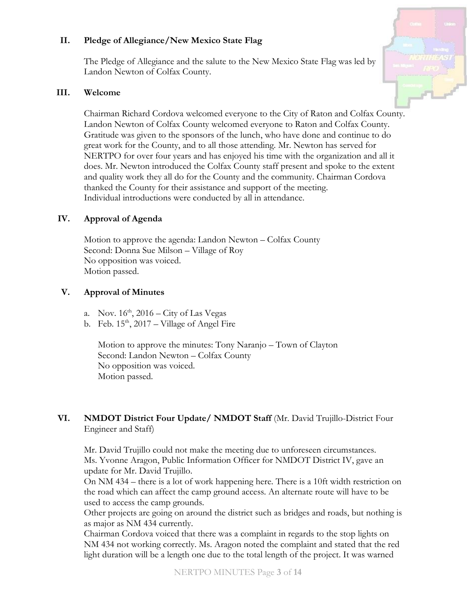# **II. Pledge of Allegiance/New Mexico State Flag**

The Pledge of Allegiance and the salute to the New Mexico State Flag was led by Landon Newton of Colfax County.

### **III. Welcome**

Chairman Richard Cordova welcomed everyone to the City of Raton and Colfax County. Landon Newton of Colfax County welcomed everyone to Raton and Colfax County. Gratitude was given to the sponsors of the lunch, who have done and continue to do great work for the County, and to all those attending. Mr. Newton has served for NERTPO for over four years and has enjoyed his time with the organization and all it does. Mr. Newton introduced the Colfax County staff present and spoke to the extent and quality work they all do for the County and the community. Chairman Cordova thanked the County for their assistance and support of the meeting. Individual introductions were conducted by all in attendance.

# **IV. Approval of Agenda**

Motion to approve the agenda: Landon Newton – Colfax County Second: Donna Sue Milson – Village of Roy No opposition was voiced. Motion passed.

# **V. Approval of Minutes**

- a. Nov.  $16<sup>th</sup>$ ,  $2016$  City of Las Vegas
- b. Feb.  $15<sup>th</sup>$ , 2017 Village of Angel Fire

Motion to approve the minutes: Tony Naranjo – Town of Clayton Second: Landon Newton – Colfax County No opposition was voiced. Motion passed.

# **VI. NMDOT District Four Update/ NMDOT Staff** (Mr. David Trujillo-District Four Engineer and Staff)

Mr. David Trujillo could not make the meeting due to unforeseen circumstances. Ms. Yvonne Aragon, Public Information Officer for NMDOT District IV, gave an update for Mr. David Trujillo.

On NM 434 – there is a lot of work happening here. There is a 10ft width restriction on the road which can affect the camp ground access. An alternate route will have to be used to access the camp grounds.

Other projects are going on around the district such as bridges and roads, but nothing is as major as NM 434 currently.

Chairman Cordova voiced that there was a complaint in regards to the stop lights on NM 434 not working correctly. Ms. Aragon noted the complaint and stated that the red light duration will be a length one due to the total length of the project. It was warned

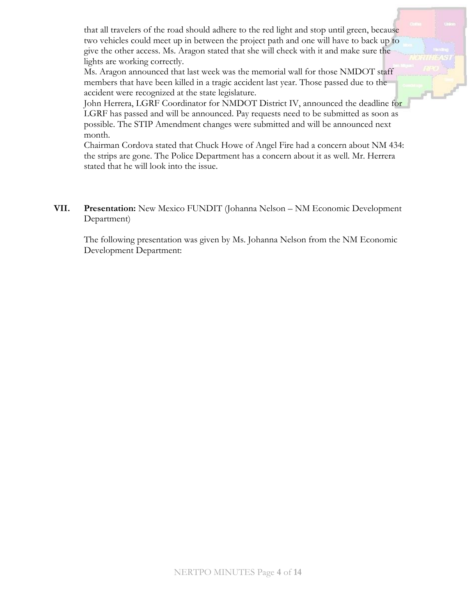that all travelers of the road should adhere to the red light and stop until green, because two vehicles could meet up in between the project path and one will have to back up to give the other access. Ms. Aragon stated that she will check with it and make sure the lights are working correctly.

Ms. Aragon announced that last week was the memorial wall for those NMDOT staff members that have been killed in a tragic accident last year. Those passed due to the accident were recognized at the state legislature.

John Herrera, LGRF Coordinator for NMDOT District IV, announced the deadline for LGRF has passed and will be announced. Pay requests need to be submitted as soon as possible. The STIP Amendment changes were submitted and will be announced next month.

Chairman Cordova stated that Chuck Howe of Angel Fire had a concern about NM 434: the strips are gone. The Police Department has a concern about it as well. Mr. Herrera stated that he will look into the issue.

**VII. Presentation:** New Mexico FUNDIT (Johanna Nelson – NM Economic Development Department)

The following presentation was given by Ms. Johanna Nelson from the NM Economic Development Department: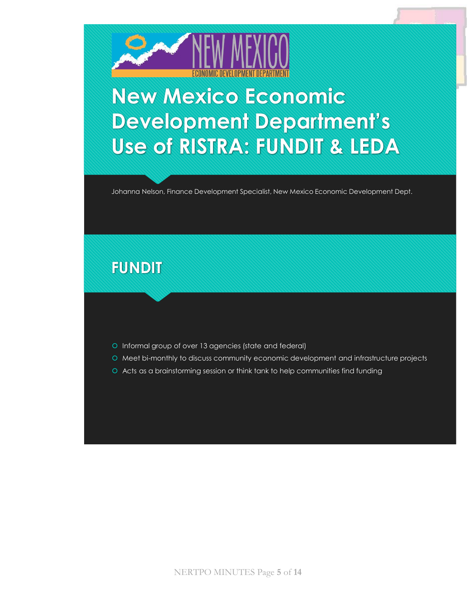

# **New Mexico Economic Development Department's Use of RISTRA: FUNDIT & LEDA**

Johanna Nelson, Finance Development Specialist, New Mexico Economic Development Dept.

# **FUNDIT**

- O Informal group of over 13 agencies (state and federal)
- Meet bi-monthly to discuss community economic development and infrastructure projects
- Acts as a brainstorming session or think tank to help communities find funding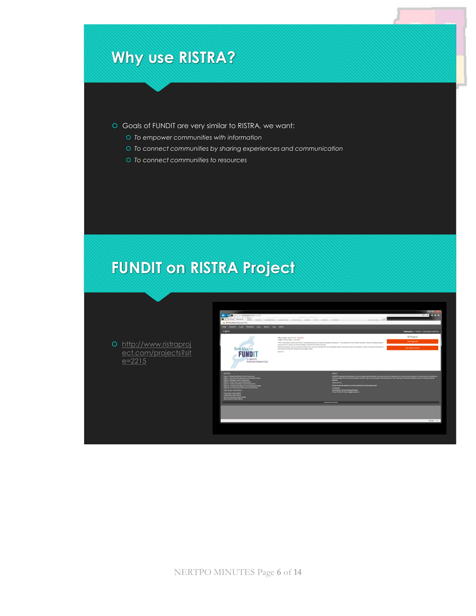- Goals of FUNDIT are very similar to RISTRA, we want:
	- *To empower communities with information*
	- *To connect communities by sharing experiences and communication*
	- *To connect communities to resources*

# **FUNDIT on RISTRA Project**

 http://www.ristraproj ect.com/projects?sit  $e = 2215$ 

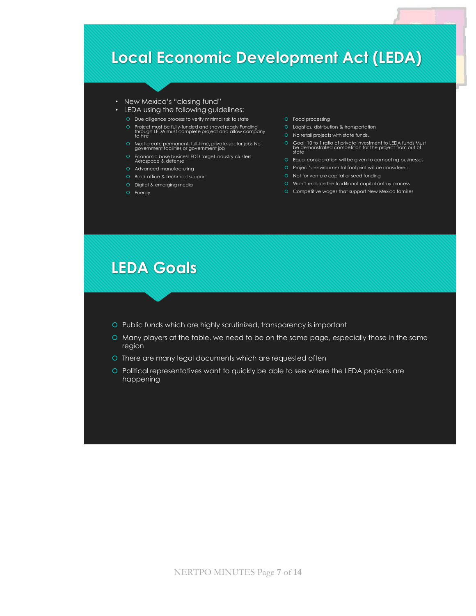# **NERTPO MINUTES Page 7 of 14**<br>
NERTPO MINUTES Page 7 of 14<br>
NERTPO MINUTES Page 7 of 14<br>
NERTPO MINUTES Page 7 of 14<br>
NERTPO MINUTES Page 7 of 14<br>
NERTPO MINUTES Page 7 of 14<br>
NERTPO MINUTES Page 7 of 14<br>
NERTPO MINUTES P

### • New Mexico's "closing fund"

- LEDA using the following guidelines:
	- Due diligence process to verify minimal risk to state
	- Project must be fully-funded and shovel ready Funding through LEDA must complete project and allow company to hire
	-
	- Economic base business EDD target industry clusters: Aerospace & defense
	- Advanced manufacturing
	- O Back office & technical support
	- O Digital & emerging media O Energy
- O Food processing
- Logistics, distribution & transportation
	- O No retail projects with state funds.
- Must create permanent, full-time, private-sector jobs No government facilities or government job Goal: 10 to 1 ratio of private investment to LEDA funds Must be demonstrated competition for the project from out of state
	- Equal consideration will be given to competing businesses
	- Project's environmental footprint will be considered
	- Not for venture capital or seed funding
	- O Won't replace the traditional capital outlay process
	- Competitive wages that support New Mexico families

# **LEDA Goals**

- Public funds which are highly scrutinized, transparency is important
- Many players at the table, we need to be on the same page, especially those in the same region
- O There are many legal documents which are requested often
- Political representatives want to quickly be able to see where the LEDA projects are happening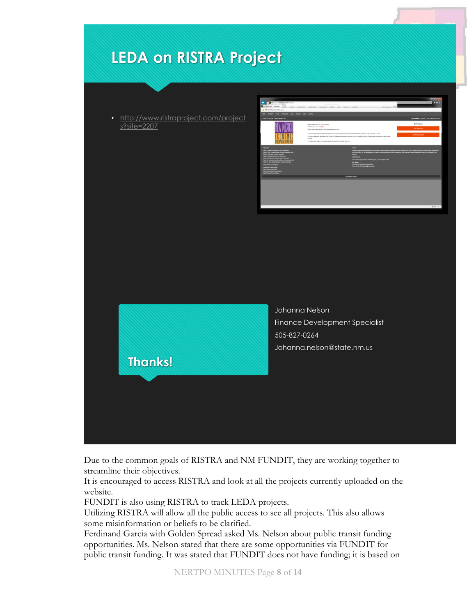• http://www.ristraproject.com/project s?site=2207





Johanna Nelson Finance Development Specialist 505-827-0264 Johanna.nelson@state.nm.us

Due to the common goals of RISTRA and NM FUNDIT, they are working together to streamline their objectives.

It is encouraged to access RISTRA and look at all the projects currently uploaded on the website.

FUNDIT is also using RISTRA to track LEDA projects.

Utilizing RISTRA will allow all the public access to see all projects. This also allows some misinformation or beliefs to be clarified.

Ferdinand Garcia with Golden Spread asked Ms. Nelson about public transit funding opportunities. Ms. Nelson stated that there are some opportunities via FUNDIT for public transit funding. It was stated that FUNDIT does not have funding; it is based on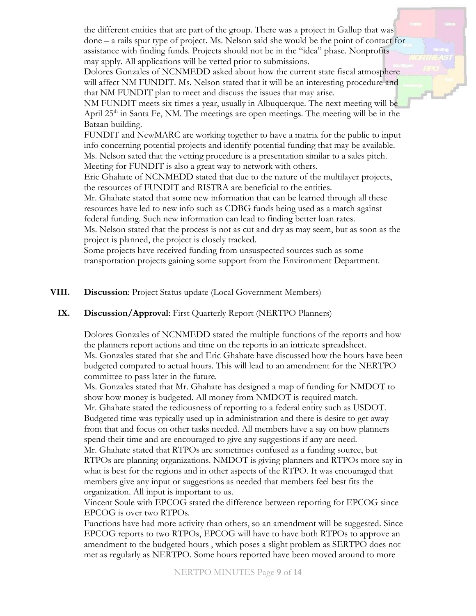the different entities that are part of the group. There was a project in Gallup that was done – a rails spur type of project. Ms. Nelson said she would be the point of contact for assistance with finding funds. Projects should not be in the "idea" phase. Nonprofits may apply. All applications will be vetted prior to submissions.

Dolores Gonzales of NCNMEDD asked about how the current state fiscal atmosphere will affect NM FUNDIT. Ms. Nelson stated that it will be an interesting procedure and that NM FUNDIT plan to meet and discuss the issues that may arise.

NM FUNDIT meets six times a year, usually in Albuquerque. The next meeting will be April  $25<sup>th</sup>$  in Santa Fe, NM. The meetings are open meetings. The meeting will be in the Bataan building.

FUNDIT and NewMARC are working together to have a matrix for the public to input info concerning potential projects and identify potential funding that may be available. Ms. Nelson sated that the vetting procedure is a presentation similar to a sales pitch. Meeting for FUNDIT is also a great way to network with others.

Eric Ghahate of NCNMEDD stated that due to the nature of the multilayer projects, the resources of FUNDIT and RISTRA are beneficial to the entities.

Mr. Ghahate stated that some new information that can be learned through all these resources have led to new info such as CDBG funds being used as a match against federal funding. Such new information can lead to finding better loan rates.

Ms. Nelson stated that the process is not as cut and dry as may seem, but as soon as the project is planned, the project is closely tracked.

Some projects have received funding from unsuspected sources such as some transportation projects gaining some support from the Environment Department.

**VIII. Discussion**: Project Status update (Local Government Members)

# **IX. Discussion/Approval**: First Quarterly Report (NERTPO Planners)

Dolores Gonzales of NCNMEDD stated the multiple functions of the reports and how the planners report actions and time on the reports in an intricate spreadsheet. Ms. Gonzales stated that she and Eric Ghahate have discussed how the hours have been budgeted compared to actual hours. This will lead to an amendment for the NERTPO committee to pass later in the future.

Ms. Gonzales stated that Mr. Ghahate has designed a map of funding for NMDOT to show how money is budgeted. All money from NMDOT is required match. Mr. Ghahate stated the tediousness of reporting to a federal entity such as USDOT. Budgeted time was typically used up in administration and there is desire to get away from that and focus on other tasks needed. All members have a say on how planners spend their time and are encouraged to give any suggestions if any are need. Mr. Ghahate stated that RTPOs are sometimes confused as a funding source, but RTPOs are planning organizations. NMDOT is giving planners and RTPOs more say in what is best for the regions and in other aspects of the RTPO. It was encouraged that members give any input or suggestions as needed that members feel best fits the

organization. All input is important to us.

Vincent Soule with EPCOG stated the difference between reporting for EPCOG since EPCOG is over two RTPOs.

Functions have had more activity than others, so an amendment will be suggested. Since EPCOG reports to two RTPOs, EPCOG will have to have both RTPOs to approve an amendment to the budgeted hours , which poses a slight problem as SERTPO does not met as regularly as NERTPO. Some hours reported have been moved around to more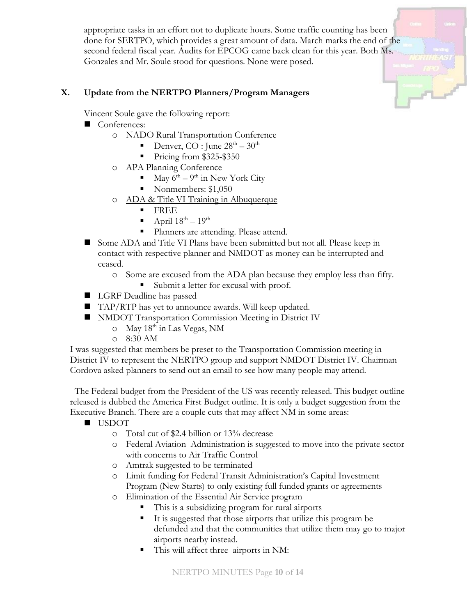appropriate tasks in an effort not to duplicate hours. Some traffic counting has been done for SERTPO, which provides a great amount of data. March marks the end of the second federal fiscal year. Audits for EPCOG came back clean for this year. Both Ms. Gonzales and Mr. Soule stood for questions. None were posed.

# **X. Update from the NERTPO Planners/Program Managers**

Vincent Soule gave the following report:

- Conferences:
	- o NADO Rural Transportation Conference
		- **•** Denver, CO : June  $28^{\text{th}} 30^{\text{th}}$
		- Pricing from \$325-\$350
	- o APA Planning Conference
		- $\blacksquare$  May 6<sup>th</sup> 9<sup>th</sup> in New York City
		- Nonmembers: \$1,050
	- o ADA & Title VI Training in Albuquerque
		- FREE
		- $\blacksquare$  April  $18^{\text{th}} 19^{\text{th}}$
		- Planners are attending. Please attend.
- Some ADA and Title VI Plans have been submitted but not all. Please keep in contact with respective planner and NMDOT as money can be interrupted and ceased.
	- o Some are excused from the ADA plan because they employ less than fifty.
		- Submit a letter for excusal with proof.
- LGRF Deadline has passed
- TAP/RTP has yet to announce awards. Will keep updated.
- **NMDOT** Transportation Commission Meeting in District IV
	- o May 18th in Las Vegas, NM
	- o 8:30 AM

I was suggested that members be preset to the Transportation Commission meeting in District IV to represent the NERTPO group and support NMDOT District IV. Chairman Cordova asked planners to send out an email to see how many people may attend.

 The Federal budget from the President of the US was recently released. This budget outline released is dubbed the America First Budget outline. It is only a budget suggestion from the Executive Branch. There are a couple cuts that may affect NM in some areas:

- **USDOT** 
	- o Total cut of \$2.4 billion or 13% decrease
	- o Federal Aviation Administration is suggested to move into the private sector with concerns to Air Traffic Control
	- o Amtrak suggested to be terminated
	- o Limit funding for Federal Transit Administration's Capital Investment Program (New Starts) to only existing full funded grants or agreements
	- o Elimination of the Essential Air Service program
		- This is a subsidizing program for rural airports
		- It is suggested that those airports that utilize this program be defunded and that the communities that utilize them may go to major airports nearby instead.
		- This will affect three airports in NM: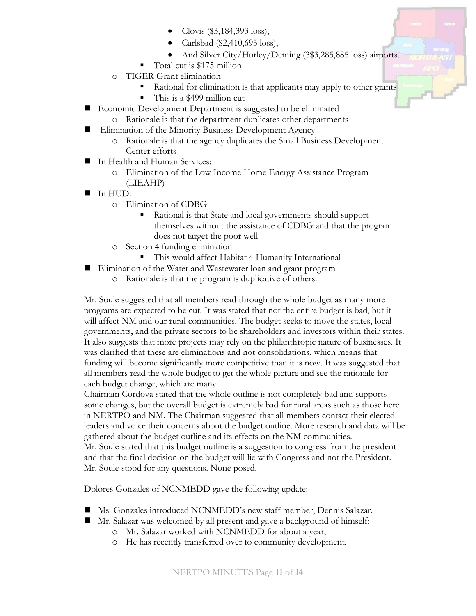- Clovis (\$3,184,393 loss),
- Carlsbad (\$2,410,695 loss),
- And Silver City/Hurley/Deming (3\$3,285,885 loss) airports.
- Total cut is \$175 million
- o TIGER Grant elimination
	- Rational for elimination is that applicants may apply to other grants
	- This is a \$499 million cut
- Economic Development Department is suggested to be eliminated
	- o Rationale is that the department duplicates other departments
- **Elimination of the Minority Business Development Agency** 
	- o Rationale is that the agency duplicates the Small Business Development Center efforts
- In Health and Human Services:
	- o Elimination of the Low Income Home Energy Assistance Program (LIEAHP)
- $\blacksquare$  In HUD:
	- o Elimination of CDBG
		- Rational is that State and local governments should support themselves without the assistance of CDBG and that the program does not target the poor well
	- o Section 4 funding elimination
		- This would affect Habitat 4 Humanity International
- Elimination of the Water and Wastewater loan and grant program
	- o Rationale is that the program is duplicative of others.

Mr. Soule suggested that all members read through the whole budget as many more programs are expected to be cut. It was stated that not the entire budget is bad, but it will affect NM and our rural communities. The budget seeks to move the states, local governments, and the private sectors to be shareholders and investors within their states. It also suggests that more projects may rely on the philanthropic nature of businesses. It was clarified that these are eliminations and not consolidations, which means that funding will become significantly more competitive than it is now. It was suggested that all members read the whole budget to get the whole picture and see the rationale for each budget change, which are many.

Chairman Cordova stated that the whole outline is not completely bad and supports some changes, but the overall budget is extremely bad for rural areas such as those here in NERTPO and NM. The Chairman suggested that all members contact their elected leaders and voice their concerns about the budget outline. More research and data will be gathered about the budget outline and its effects on the NM communities. Mr. Soule stated that this budget outline is a suggestion to congress from the president and that the final decision on the budget will lie with Congress and not the President. Mr. Soule stood for any questions. None posed.

Dolores Gonzales of NCNMEDD gave the following update:

- Ms. Gonzales introduced NCNMEDD's new staff member, Dennis Salazar.
- Mr. Salazar was welcomed by all present and gave a background of himself:
	- o Mr. Salazar worked with NCNMEDD for about a year,
	- o He has recently transferred over to community development,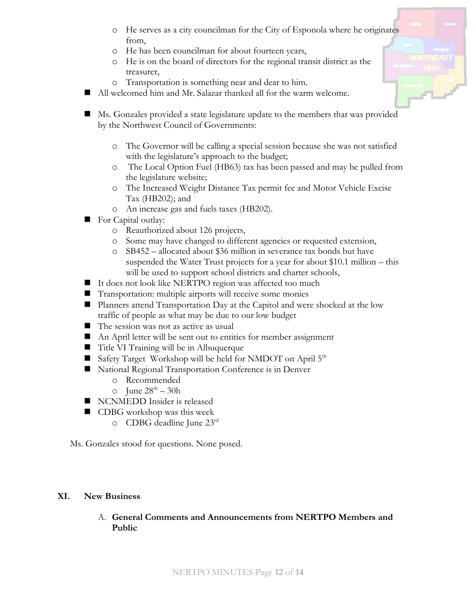- o He serves as a city councilman for the City of Esponola where he originates from,
- o He has been councilman for about fourteen years,
- o He is on the board of directors for the regional transit district as the treasurer,
- o Transportation is something near and dear to him.
- All welcomed him and Mr. Salazar thanked all for the warm welcome.
- Ms. Gonzales provided a state legislature update to the members that was provided by the Northwest Council of Governments:
	- o The Governor will be calling a special session because she was not satisfied with the legislature's approach to the budget;
	- o The Local Option Fuel (HB63) tax has been passed and may be pulled from the legislature website;
	- o The Increased Weight Distance Tax permit fee and Motor Vehicle Excise Tax (HB202); and
	- o An increase gas and fuels taxes (HB202).
- For Capital outlay:
	- o Reauthorized about 126 projects,
	- o Some may have changed to different agencies or requested extension,
	- o SB452 allocated about \$36 million in severance tax bonds but have suspended the Water Trust projects for a year for about \$10.1 million – this will be used to support school districts and charter schools,
- It does not look like NERTPO region was affected too much
- Transportation: multiple airports will receive some monies
- **Planners attend Transportation Day at the Capitol and were shocked at the low** traffic of people as what may be due to our low budget
- The session was not as active as usual
- An April letter will be sent out to entities for member assignment
- Title VI Training will be in Albuquerque
- Safety Target Workshop will be held for NMDOT on April  $5<sup>th</sup>$
- National Regional Transportation Conference is in Denver
	- o Recommended
	- $\circ$  June  $28^{\text{th}} 30\text{h}$
- NCNMEDD Insider is released
- CDBG workshop was this week
	- o CDBG deadline June 23 rd

Ms. Gonzales stood for questions. None posed.

# **XI. New Business**

A. **General Comments and Announcements from NERTPO Members and Public**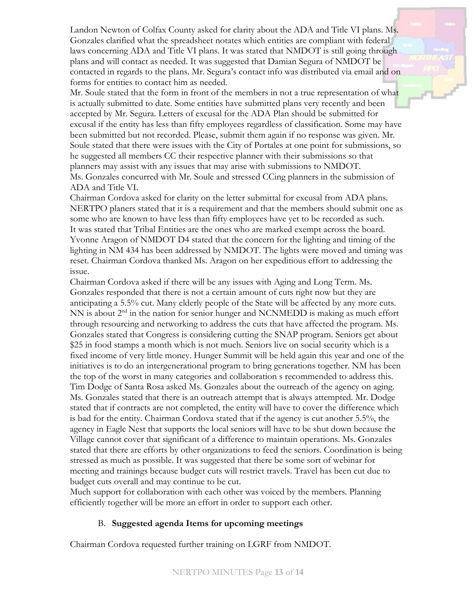Landon Newton of Colfax County asked for clarity about the ADA and Title VI plans. Ms. Gonzales clarified what the spreadsheet notates which entities are compliant with federal laws concerning ADA and Title VI plans. It was stated that NMDOT is still going through plans and will contact as needed. It was suggested that Damian Segura of NMDOT be contacted in regards to the plans. Mr. Segura's contact info was distributed via email and on forms for entities to contact him as needed.

Mr. Soule stated that the form in front of the members in not a true representation of what is actually submitted to date. Some entities have submitted plans very recently and been accepted by Mr. Segura. Letters of excusal for the ADA Plan should be submitted for excusal if the entity has less than fifty employees regardless of classification. Some may have been submitted but not recorded. Please, submit them again if no response was given. Mr. Soule stated that there were issues with the City of Portales at one point for submissions, so he suggested all members CC their respective planner with their submissions so that planners may assist with any issues that may arise with submissions to NMDOT. Ms. Gonzales concurred with Mr. Soule and stressed CCing planners in the submission of ADA and Title VI.

Chairman Cordova asked for clarity on the letter submittal for excusal from ADA plans. NERTPO planers stated that it is a requirement and that the members should submit one as some who are known to have less than fifty employees have yet to be recorded as such. It was stated that Tribal Entities are the ones who are marked exempt across the board. Yvonne Aragon of NMDOT D4 stated that the concern for the lighting and timing of the lighting in NM 434 has been addressed by NMDOT. The lights were moved and timing was reset. Chairman Cordova thanked Ms. Aragon on her expeditious effort to addressing the issue.

Chairman Cordova asked if there will be any issues with Aging and Long Term. Ms. Gonzales responded that there is not a certain amount of cuts right now but they are anticipating a 5.5% cut. Many elderly people of the State will be affected by any more cuts. NN is about  $2<sup>nd</sup>$  in the nation for senior hunger and NCNMEDD is making as much effort through resourcing and networking to address the cuts that have affected the program. Ms. Gonzales stated that Congress is considering cutting the SNAP program. Seniors get about \$25 in food stamps a month which is not much. Seniors live on social security which is a fixed income of very little money. Hunger Summit will be held again this year and one of the initiatives is to do an intergenerational program to bring generations together. NM has been the top of the worst in many categories and collaboration s recommended to address this. Tim Dodge of Santa Rosa asked Ms. Gonzales about the outreach of the agency on aging. Ms. Gonzales stated that there is an outreach attempt that is always attempted. Mr. Dodge stated that if contracts are not completed, the entity will have to cover the difference which is bad for the entity. Chairman Cordova stated that if the agency is cut another 5.5%, the agency in Eagle Nest that supports the local seniors will have to be shut down because the Village cannot cover that significant of a difference to maintain operations. Ms. Gonzales stated that there are efforts by other organizations to feed the seniors. Coordination is being stressed as much as possible. It was suggested that there be some sort of webinar for meeting and trainings because budget cuts will restrict travels. Travel has been cut due to budget cuts overall and may continue to be cut.

Much support for collaboration with each other was voiced by the members. Planning efficiently together will be more an effort in order to support each other.

# B. **Suggested agenda Items for upcoming meetings**

Chairman Cordova requested further training on LGRF from NMDOT.